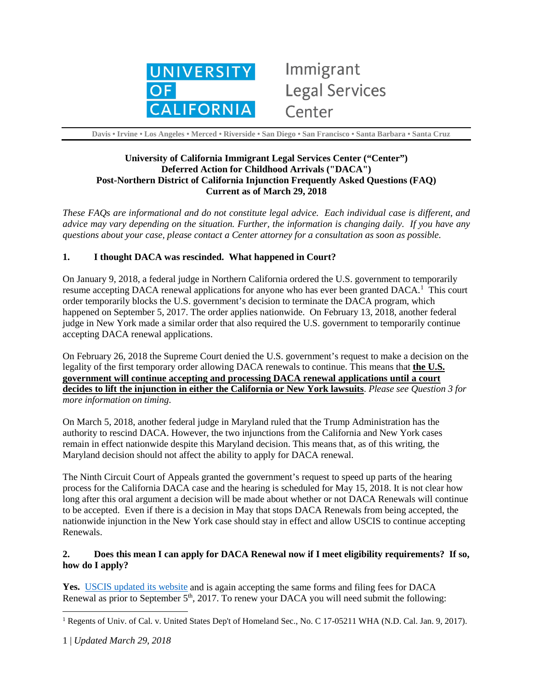

# Immigrant **Legal Services** Center

 **Davis • Irvine • Los Angeles • Merced • Riverside • San Diego • San Francisco • Santa Barbara • Santa Cruz**

## **University of California Immigrant Legal Services Center ("Center") Deferred Action for Childhood Arrivals ("DACA") Post-Northern District of California Injunction Frequently Asked Questions (FAQ) Current as of March 29, 2018**

*These FAQs are informational and do not constitute legal advice. Each individual case is different, and advice may vary depending on the situation. Further, the information is changing daily. If you have any questions about your case, please contact a Center attorney for a consultation as soon as possible.* 

#### **1. I thought DACA was rescinded. What happened in Court?**

On January 9, 2018, a federal judge in Northern California ordered the U.S. government to temporarily resume accepting DACA renewal applications for anyone who has ever been granted DACA.<sup>[1](#page-0-0)</sup> This court order temporarily blocks the U.S. government's decision to terminate the DACA program, which happened on September 5, 2017. The order applies nationwide. On February 13, 2018, another federal judge in New York made a similar order that also required the U.S. government to temporarily continue accepting DACA renewal applications.

On February 26, 2018 the Supreme Court denied the U.S. government's request to make a decision on the legality of the first temporary order allowing DACA renewals to continue. This means that **the U.S. government will continue accepting and processing DACA renewal applications until a court decides to lift the injunction in either the California or New York lawsuits**. *Please see Question 3 for more information on timing*.

On March 5, 2018, another federal judge in Maryland ruled that the Trump Administration has the authority to rescind DACA. However, the two injunctions from the California and New York cases remain in effect nationwide despite this Maryland decision. This means that, as of this writing, the Maryland decision should not affect the ability to apply for DACA renewal.

The Ninth Circuit Court of Appeals granted the government's request to speed up parts of the hearing process for the California DACA case and the hearing is scheduled for May 15, 2018. It is not clear how long after this oral argument a decision will be made about whether or not DACA Renewals will continue to be accepted. Even if there is a decision in May that stops DACA Renewals from being accepted, the nationwide injunction in the New York case should stay in effect and allow USCIS to continue accepting Renewals.

#### **2. Does this mean I can apply for DACA Renewal now if I meet eligibility requirements? If so, how do I apply?**

**Yes.** [USCIS updated its website](https://www.uscis.gov/humanitarian/deferred-action-childhood-arrivals-response-january-2018-preliminary-injunction) and is again accepting the same forms and filing fees for DACA Renewal as prior to September 5<sup>th</sup>, 2017. To renew your DACA you will need submit the following:

 $\overline{a}$ 

<span id="page-0-0"></span><sup>&</sup>lt;sup>1</sup> Regents of Univ. of Cal. v. United States Dep't of Homeland Sec., No. C 17-05211 WHA (N.D. Cal. Jan. 9, 2017).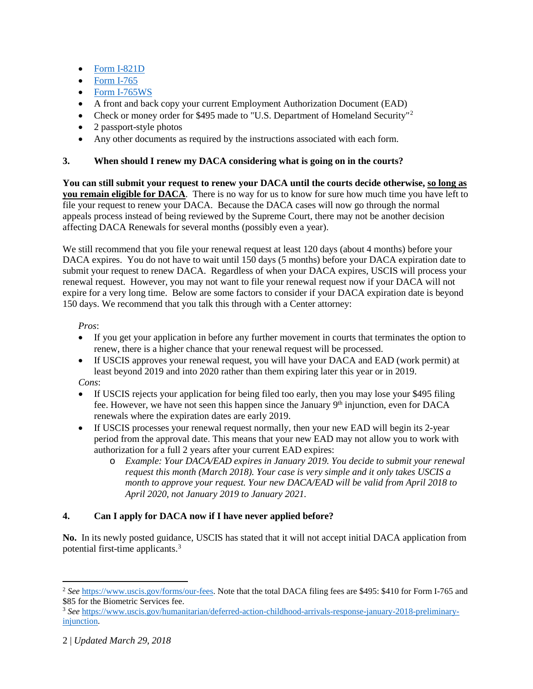- [Form I-821D](https://www.uscis.gov/system/files_force/files/form/i-821d.pdf?download=1)
- **[Form I-765](https://www.uscis.gov/system/files_force/files/form/i-765.pdf?download=1)**
- [Form I-765WS](https://www.uscis.gov/system/files_force/files/form/i-765ws.pdf?download=1)
- A front and back copy your current Employment Authorization Document (EAD)
- Check or money order for \$495 made to "U.S. Department of Homeland Security"<sup>[2](#page-1-0)</sup>
- 2 passport-style photos
- Any other documents as required by the instructions associated with each form.

#### **3. When should I renew my DACA considering what is going on in the courts?**

**You can still submit your request to renew your DACA until the courts decide otherwise, so long as you remain eligible for DACA**. There is no way for us to know for sure how much time you have left to file your request to renew your DACA. Because the DACA cases will now go through the normal appeals process instead of being reviewed by the Supreme Court, there may not be another decision affecting DACA Renewals for several months (possibly even a year).

We still recommend that you file your renewal request at least 120 days (about 4 months) before your DACA expires. You do not have to wait until 150 days (5 months) before your DACA expiration date to submit your request to renew DACA. Regardless of when your DACA expires, USCIS will process your renewal request. However, you may not want to file your renewal request now if your DACA will not expire for a very long time. Below are some factors to consider if your DACA expiration date is beyond 150 days. We recommend that you talk this through with a Center attorney:

*Pros*:

- If you get your application in before any further movement in courts that terminates the option to renew, there is a higher chance that your renewal request will be processed.
- If USCIS approves your renewal request, you will have your DACA and EAD (work permit) at least beyond 2019 and into 2020 rather than them expiring later this year or in 2019.

*Cons*:

- If USCIS rejects your application for being filed too early, then you may lose your \$495 filing fee. However, we have not seen this happen since the January  $9<sup>th</sup>$  injunction, even for DACA renewals where the expiration dates are early 2019.
- If USCIS processes your renewal request normally, then your new EAD will begin its 2-year period from the approval date. This means that your new EAD may not allow you to work with authorization for a full 2 years after your current EAD expires:
	- o *Example: Your DACA/EAD expires in January 2019. You decide to submit your renewal request this month (March 2018). Your case is very simple and it only takes USCIS a month to approve your request. Your new DACA/EAD will be valid from April 2018 to April 2020, not January 2019 to January 2021.*

# **4. Can I apply for DACA now if I have never applied before?**

**No.** In its newly posted guidance, USCIS has stated that it will not accept initial DACA application from potential first-time applicants.[3](#page-1-1)

 $\overline{a}$ 

<span id="page-1-0"></span><sup>2</sup> *See* [https://www.uscis.gov/forms/our-fees.](https://www.uscis.gov/forms/our-fees) Note that the total DACA filing fees are \$495: \$410 for Form I-765 and \$85 for the Biometric Services fee.

<span id="page-1-1"></span><sup>3</sup> *See* [https://www.uscis.gov/humanitarian/deferred-action-childhood-arrivals-response-january-2018-preliminary](https://www.uscis.gov/humanitarian/deferred-action-childhood-arrivals-response-january-2018-preliminary-injunction)[injunction.](https://www.uscis.gov/humanitarian/deferred-action-childhood-arrivals-response-january-2018-preliminary-injunction)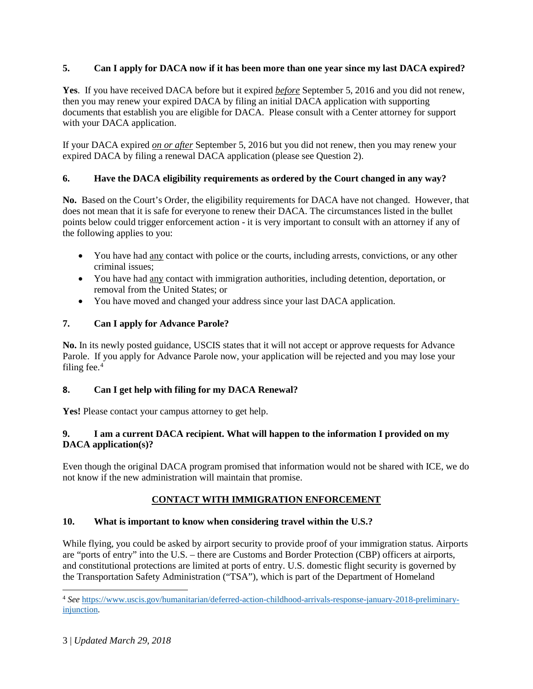# **5. Can I apply for DACA now if it has been more than one year since my last DACA expired?**

**Yes**. If you have received DACA before but it expired *before* September 5, 2016 and you did not renew, then you may renew your expired DACA by filing an initial DACA application with supporting documents that establish you are eligible for DACA. Please consult with a Center attorney for support with your DACA application.

If your DACA expired *on or after* September 5, 2016 but you did not renew, then you may renew your expired DACA by filing a renewal DACA application (please see Question 2).

# **6. Have the DACA eligibility requirements as ordered by the Court changed in any way?**

**No.** Based on the Court's Order, the eligibility requirements for DACA have not changed. However, that does not mean that it is safe for everyone to renew their DACA. The circumstances listed in the bullet points below could trigger enforcement action - it is very important to consult with an attorney if any of the following applies to you:

- You have had any contact with police or the courts, including arrests, convictions, or any other criminal issues;
- You have had any contact with immigration authorities, including detention, deportation, or removal from the United States; or
- You have moved and changed your address since your last DACA application.

# **7. Can I apply for Advance Parole?**

**No.** In its newly posted guidance, USCIS states that it will not accept or approve requests for Advance Parole. If you apply for Advance Parole now, your application will be rejected and you may lose your filing fee. $4$ 

# **8. Can I get help with filing for my DACA Renewal?**

Yes! Please contact your campus attorney to get help.

#### **9. I am a current DACA recipient. What will happen to the information I provided on my DACA application(s)?**

Even though the original DACA program promised that information would not be shared with ICE, we do not know if the new administration will maintain that promise.

# **CONTACT WITH IMMIGRATION ENFORCEMENT**

# **10. What is important to know when considering travel within the U.S.?**

While flying, you could be asked by airport security to provide proof of your immigration status. Airports are "ports of entry" into the U.S. – there are Customs and Border Protection (CBP) officers at airports, and constitutional protections are limited at ports of entry. U.S. domestic flight security is governed by the Transportation Safety Administration ("TSA"), which is part of the Department of Homeland

 $\overline{\phantom{a}}$ 

<span id="page-2-0"></span><sup>4</sup> *See* [https://www.uscis.gov/humanitarian/deferred-action-childhood-arrivals-response-january-2018-preliminary](https://www.uscis.gov/humanitarian/deferred-action-childhood-arrivals-response-january-2018-preliminary-injunction)[injunction.](https://www.uscis.gov/humanitarian/deferred-action-childhood-arrivals-response-january-2018-preliminary-injunction)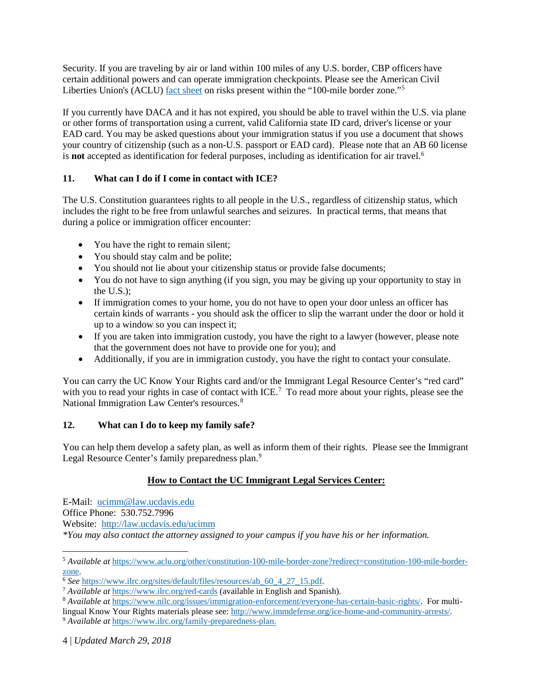Security. If you are traveling by air or land within 100 miles of any U.S. border, CBP officers have certain additional powers and can operate immigration checkpoints. Please see the American Civil Liberties Union's (ACLU) [fact sheet](https://www.aclu.org/other/constitution-100-mile-border-zone?redirect=constitution-100-mile-border-zone) on risks present within the "100-mile border zone."[5](#page-3-0)

If you currently have DACA and it has not expired, you should be able to travel within the U.S. via plane or other forms of transportation using a current, valid California state ID card, driver's license or your EAD card. You may be asked questions about your immigration status if you use a document that shows your country of citizenship (such as a non-U.S. passport or EAD card). Please note that an AB 60 license is **not** accepted as identification for federal purposes, including as identification for air travel.<sup>[6](#page-3-1)</sup>

# **11. What can I do if I come in contact with ICE?**

The U.S. Constitution guarantees rights to all people in the U.S., regardless of citizenship status, which includes the right to be free from unlawful searches and seizures. In practical terms, that means that during a police or immigration officer encounter:

- You have the right to remain silent;
- You should stay calm and be polite;
- You should not lie about your citizenship status or provide false documents;
- You do not have to sign anything (if you sign, you may be giving up your opportunity to stay in the U.S.);
- If immigration comes to your home, you do not have to open your door unless an officer has certain kinds of warrants - you should ask the officer to slip the warrant under the door or hold it up to a window so you can inspect it;
- If you are taken into immigration custody, you have the right to a lawyer (however, please note that the government does not have to provide one for you); and
- Additionally, if you are in immigration custody, you have the right to contact your consulate.

You can carry the UC Know Your Rights card and/or the Immigrant Legal Resource Center's "red card" with you to read your rights in case of contact with ICE.<sup>[7](#page-3-2)</sup> To read more about your rights, please see the National Immigration Law Center's resources. [8](#page-3-3)

# **12. What can I do to keep my family safe?**

You can help them develop a safety plan, as well as inform them of their rights. Please see the Immigrant Legal Resource Center's family preparedness plan.<sup>[9](#page-3-4)</sup>

# **How to Contact the UC Immigrant Legal Services Center:**

E-Mail: [ucimm@law.ucdavis.edu](mailto:ucimm@law.ucdavis.edu) Office Phone: 530.752.7996 Website:<http://law.ucdavis.edu/ucimm> *\*You may also contact the attorney assigned to your campus if you have his or her information.* 

 $\overline{a}$ 

<span id="page-3-0"></span><sup>5</sup> *Available at* [https://www.aclu.org/other/constitution-100-mile-border-zone?redirect=constitution-100-mile-border-](https://www.aclu.org/other/constitution-100-mile-border-zone?redirect=constitution-100-mile-border-zone)

<span id="page-3-1"></span>[zone.](https://www.aclu.org/other/constitution-100-mile-border-zone?redirect=constitution-100-mile-border-zone)<br><sup>6</sup> See <u>[https://www.ilrc.org/sites/default/files/resources/ab\\_60\\_4\\_27\\_15.pdf.](https://www.ilrc.org/sites/default/files/resources/ab_60_4_27_15.pdf) 7 *Available at* <https://www.ilrc.org/red-cards> (available in English and Spanish).</u>

<span id="page-3-2"></span><sup>8</sup> *Available at* [https://www.nilc.org/issues/immigration-enforcement/everyone-has-certain-basic-rights/.](https://www.nilc.org/issues/immigration-enforcement/everyone-has-certain-basic-rights/) For multi-

<span id="page-3-3"></span>lingual Know Your Rights materials please see: [http://www.immdefense.org/ice-home-and-community-arrests/.](http://www.immdefense.org/ice-home-and-community-arrests/)

<span id="page-3-4"></span><sup>9</sup> *Available at* [https://www.ilrc.org/family-preparedness-plan.](https://www.ilrc.org/family-preparedness-plan)